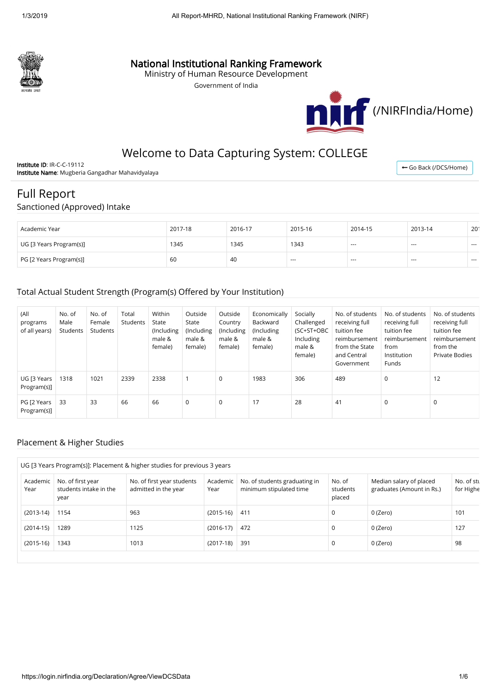

## National Institutional Ranking Framework

Ministry of Human Resource Development

Government of India



# Welcome to Data Capturing System: COLLEGE

Institute ID: IR-C-C-19112 Institute Name: Mugberia Gangadhar Mahavidyalaya

← [Go Back \(/DCS/Home\)](https://login.nirfindia.org/DCS/Home)

# Full Report

#### Sanctioned (Approved) Intake

| Academic Year           | 2017-18 | 2016-17 | 2015-16                  | 2014-15 | 2013-14 | 201     |
|-------------------------|---------|---------|--------------------------|---------|---------|---------|
| UG [3 Years Program(s)] | 1345    | 1345    | 1343                     | ---     | $- - -$ | $- - -$ |
| PG [2 Years Program(s)] | -60     | -40     | $\hspace{0.05cm} \ldots$ | ---     | $- - -$ | $- - -$ |

#### Total Actual Student Strength (Program(s) Offered by Your Institution)

| (All<br>programs<br>of all years) | No. of<br>Male<br>Students | No. of<br>Female<br>Students | Total<br>Students | Within<br>State<br>(Including<br>male &<br>female) | Outside<br>State<br>(Including<br>male &<br>female) | Outside<br>Country<br>(Including<br>male &<br>female) | Economically<br>Backward<br>(Including<br>male &<br>female) | Socially<br>Challenged<br>(SC+ST+OBC<br>Including<br>male &<br>female) | No. of students<br>receiving full<br>tuition fee<br>reimbursement<br>from the State<br>and Central<br>Government | No. of students<br>receiving full<br>tuition fee<br>reimbursement<br>from<br>Institution<br>Funds | No. of students<br>receiving full<br>tuition fee<br>reimbursement<br>from the<br><b>Private Bodies</b> |
|-----------------------------------|----------------------------|------------------------------|-------------------|----------------------------------------------------|-----------------------------------------------------|-------------------------------------------------------|-------------------------------------------------------------|------------------------------------------------------------------------|------------------------------------------------------------------------------------------------------------------|---------------------------------------------------------------------------------------------------|--------------------------------------------------------------------------------------------------------|
| UG [3 Years]<br>Program(s)]       | 1318                       | 1021                         | 2339              | 2338                                               |                                                     | 0                                                     | 1983                                                        | 306                                                                    | 489                                                                                                              | $\mathbf 0$                                                                                       | 12                                                                                                     |
| PG [2 Years<br>Program(s)]        | 33                         | 33                           | 66                | 66                                                 | $\mathbf 0$                                         | 0                                                     | 17                                                          | 28                                                                     | 41                                                                                                               | $\mathbf 0$                                                                                       | 0                                                                                                      |

#### Placement & Higher Studies

|                  | UG [3 Years Program(s)]: Placement & higher studies for previous 3 years |                                                    |                  |                                                          |                              |                                                      |                         |  |  |  |  |
|------------------|--------------------------------------------------------------------------|----------------------------------------------------|------------------|----------------------------------------------------------|------------------------------|------------------------------------------------------|-------------------------|--|--|--|--|
| Academic<br>Year | No. of first year<br>students intake in the<br>year                      | No. of first year students<br>admitted in the year | Academic<br>Year | No. of students graduating in<br>minimum stipulated time | No. of<br>students<br>placed | Median salary of placed<br>graduates (Amount in Rs.) | No. of stu<br>for Highe |  |  |  |  |
| $(2013-14)$      | 1154                                                                     | 963                                                | $(2015-16)$      | 411                                                      | 0                            | 0 (Zero)                                             | 101                     |  |  |  |  |
| $(2014-15)$      | 1289                                                                     | 1125                                               | $(2016-17)$      | 472                                                      | 0                            | 0 (Zero)                                             | 127                     |  |  |  |  |
| $(2015-16)$      | 1343                                                                     | 1013                                               | $(2017-18)$      | 391                                                      | 0                            | 0 (Zero)                                             | 98                      |  |  |  |  |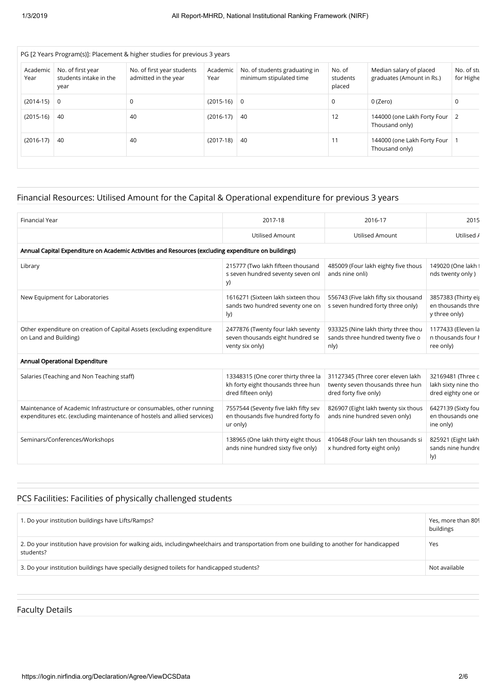| Academic<br>Year | No. of first year<br>students intake in the<br>year | No. of first year students<br>admitted in the year | Academic<br>Year | No. of students graduating in<br>minimum stipulated time | No. of<br>students<br>placed | Median salary of placed<br>graduates (Amount in Rs.) | No. of stu<br>for Highe |
|------------------|-----------------------------------------------------|----------------------------------------------------|------------------|----------------------------------------------------------|------------------------------|------------------------------------------------------|-------------------------|
| $(2014-15)$ 0    |                                                     | 0                                                  | $(2015-16)$ 0    |                                                          | $\mathbf 0$                  | 0 (Zero)                                             | 0                       |
| $(2015-16)$      | 40                                                  | 40                                                 | $(2016-17)$      | -40                                                      | 12                           | 144000 (one Lakh Forty Four<br>Thousand only)        | 2                       |
| $(2016-17)$      | 40                                                  | 40                                                 | $(2017-18)$      | -40                                                      | 11                           | 144000 (one Lakh Forty Four<br>Thousand only)        |                         |

### Financial Resources: Utilised Amount for the Capital & Operational expenditure for previous 3 years

| <b>Financial Year</b>                                                                                                                            | 2017-18                                                                                         | 2016-17                                                                                        | 2015                                                           |
|--------------------------------------------------------------------------------------------------------------------------------------------------|-------------------------------------------------------------------------------------------------|------------------------------------------------------------------------------------------------|----------------------------------------------------------------|
|                                                                                                                                                  | <b>Utilised Amount</b>                                                                          | <b>Utilised Amount</b>                                                                         | Utilised /                                                     |
| Annual Capital Expenditure on Academic Activities and Resources (excluding expenditure on buildings)                                             |                                                                                                 |                                                                                                |                                                                |
| Library                                                                                                                                          | 215777 (Two lakh fifteen thousand<br>s seven hundred seventy seven onl<br>y)                    | 485009 (Four lakh eighty five thous<br>ands nine onli)                                         | 149020 (One lakh i<br>nds twenty only)                         |
| New Equipment for Laboratories                                                                                                                   | 1616271 (Sixteen lakh sixteen thou<br>sands two hundred seventy one on<br>ly)                   | 556743 (Five lakh fifty six thousand<br>s seven hundred forty three only)                      | 3857383 (Thirty eis<br>en thousands thre<br>y three only)      |
| Other expenditure on creation of Capital Assets (excluding expenditure<br>on Land and Building)                                                  | 2477876 (Twenty four lakh seventy<br>seven thousands eight hundred se<br>venty six only)        | 933325 (Nine lakh thirty three thou<br>sands three hundred twenty five o<br>nly)               | 1177433 (Eleven la<br>n thousands four <b>h</b><br>ree only)   |
| Annual Operational Expenditure                                                                                                                   |                                                                                                 |                                                                                                |                                                                |
| Salaries (Teaching and Non Teaching staff)                                                                                                       | 13348315 (One corer thirty three la<br>kh forty eight thousands three hun<br>dred fifteen only) | 31127345 (Three corer eleven lakh<br>twenty seven thousands three hun<br>dred forty five only) | 32169481 (Three c<br>lakh sixty nine tho<br>dred eighty one or |
| Maintenance of Academic Infrastructure or consumables, other running<br>expenditures etc. (excluding maintenance of hostels and allied services) | 7557544 (Seventy five lakh fifty sev<br>en thousands five hundred forty fo<br>ur only)          | 826907 (Eight lakh twenty six thous<br>ands nine hundred seven only)                           | 6427139 (Sixty fou<br>en thousands one<br>ine only)            |
| Seminars/Conferences/Workshops                                                                                                                   | 138965 (One lakh thirty eight thous<br>ands nine hundred sixty five only)                       | 410648 (Four lakh ten thousands si<br>x hundred forty eight only)                              | 825921 (Eight lakh<br>sands nine hundre<br>ly)                 |

## PCS Facilities: Facilities of physically challenged students

| . Do your institution buildings have Lifts/Ramps?                                                                                                         | Yes, more than 809<br>buildings |
|-----------------------------------------------------------------------------------------------------------------------------------------------------------|---------------------------------|
| 2. Do your institution have provision for walking aids, includingwheelchairs and transportation from one building to another for handicapped<br>students? | Yes                             |
| 3. Do your institution buildings have specially designed toilets for handicapped students?                                                                | Not available                   |

### Faculty Details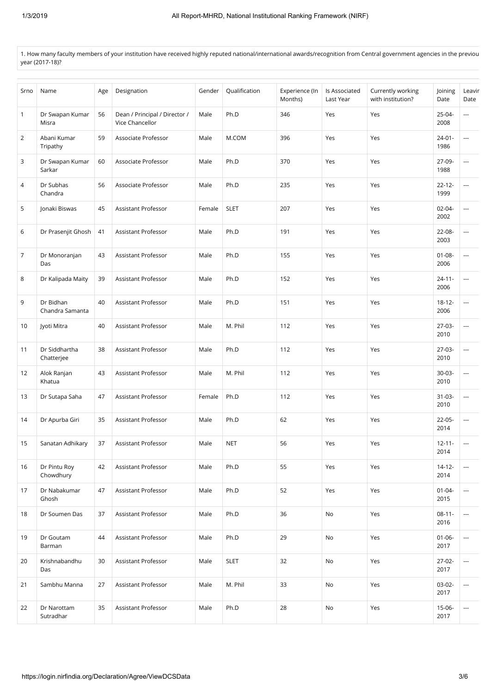1. How many faculty members of your institution have received highly reputed national/international awards/recognition from Central government agencies in the previou year (2017-18)?

| Srno           | Name                         | Age | Designation                                      | Gender | Qualification | Experience (In<br>Months) | Is Associated<br>Last Year | Currently working<br>with institution? | Joining<br>Date     | Leavir<br>Date |
|----------------|------------------------------|-----|--------------------------------------------------|--------|---------------|---------------------------|----------------------------|----------------------------------------|---------------------|----------------|
| $\mathbf{1}$   | Dr Swapan Kumar<br>Misra     | 56  | Dean / Principal / Director /<br>Vice Chancellor | Male   | Ph.D          | 346                       | Yes                        | Yes                                    | $25 - 04 -$<br>2008 | ---            |
| $\overline{2}$ | Abani Kumar<br>Tripathy      | 59  | Associate Professor                              | Male   | M.COM         | 396                       | Yes                        | Yes                                    | $24 - 01 -$<br>1986 | ---            |
| 3              | Dr Swapan Kumar<br>Sarkar    | 60  | Associate Professor                              | Male   | Ph.D          | 370                       | Yes                        | Yes                                    | 27-09-<br>1988      | ---            |
| 4              | Dr Subhas<br>Chandra         | 56  | Associate Professor                              | Male   | Ph.D          | 235                       | Yes                        | Yes                                    | $22 - 12 -$<br>1999 | ---            |
| 5              | Jonaki Biswas                | 45  | Assistant Professor                              | Female | <b>SLET</b>   | 207                       | Yes                        | Yes                                    | $02 - 04 -$<br>2002 | ---            |
| 6              | Dr Prasenjit Ghosh           | 41  | Assistant Professor                              | Male   | Ph.D          | 191                       | Yes                        | Yes                                    | 22-08-<br>2003      | ---            |
| $\overline{7}$ | Dr Monoranjan<br>Das         | 43  | Assistant Professor                              | Male   | Ph.D          | 155                       | Yes                        | Yes                                    | $01 - 08 -$<br>2006 | ---            |
| 8              | Dr Kalipada Maity            | 39  | Assistant Professor                              | Male   | Ph.D          | 152                       | Yes                        | Yes                                    | $24 - 11 -$<br>2006 | ---            |
| 9              | Dr Bidhan<br>Chandra Samanta | 40  | Assistant Professor                              | Male   | Ph.D          | 151                       | Yes                        | Yes                                    | $18 - 12 -$<br>2006 | ---            |
| 10             | Jyoti Mitra                  | 40  | Assistant Professor                              | Male   | M. Phil       | 112                       | Yes                        | Yes                                    | $27-03-$<br>2010    | ---            |
| 11             | Dr Siddhartha<br>Chatterjee  | 38  | Assistant Professor                              | Male   | Ph.D          | 112                       | Yes                        | Yes                                    | $27-03-$<br>2010    | ---            |
| 12             | Alok Ranjan<br>Khatua        | 43  | Assistant Professor                              | Male   | M. Phil       | 112                       | Yes                        | Yes                                    | $30-03-$<br>2010    | ---            |
| 13             | Dr Sutapa Saha               | 47  | Assistant Professor                              | Female | Ph.D          | 112                       | Yes                        | Yes                                    | $31 - 03 -$<br>2010 | ---            |
| 14             | Dr Apurba Giri               | 35  | Assistant Professor                              | Male   | Ph.D          | 62                        | Yes                        | Yes                                    | 22-05-<br>2014      | ---            |
| 15             | Sanatan Adhikary             | 37  | Assistant Professor                              | Male   | <b>NET</b>    | 56                        | Yes                        | Yes                                    | $12 - 11 -$<br>2014 | $\cdots$       |
| 16             | Dr Pintu Roy<br>Chowdhury    | 42  | Assistant Professor                              | Male   | Ph.D          | 55                        | Yes                        | Yes                                    | $14 - 12 -$<br>2014 | ---            |
| 17             | Dr Nabakumar<br>Ghosh        | 47  | Assistant Professor                              | Male   | Ph.D          | 52                        | Yes                        | Yes                                    | $01 - 04 -$<br>2015 | ---            |
| 18             | Dr Soumen Das                | 37  | Assistant Professor                              | Male   | Ph.D          | 36                        | No                         | Yes                                    | $08-11-$<br>2016    | ---            |
| 19             | Dr Goutam<br>Barman          | 44  | Assistant Professor                              | Male   | Ph.D          | 29                        | No                         | Yes                                    | $01 - 06 -$<br>2017 | ---            |
| 20             | Krishnabandhu<br>Das         | 30  | Assistant Professor                              | Male   | <b>SLET</b>   | 32                        | No                         | Yes                                    | $27-02-$<br>2017    | ---            |
| 21             | Sambhu Manna                 | 27  | Assistant Professor                              | Male   | M. Phil       | 33                        | No                         | Yes                                    | $03-02-$<br>2017    | ---            |
| 22             | Dr Narottam<br>Sutradhar     | 35  | Assistant Professor                              | Male   | Ph.D          | 28                        | No                         | Yes                                    | 15-06-<br>2017      | $\overline{a}$ |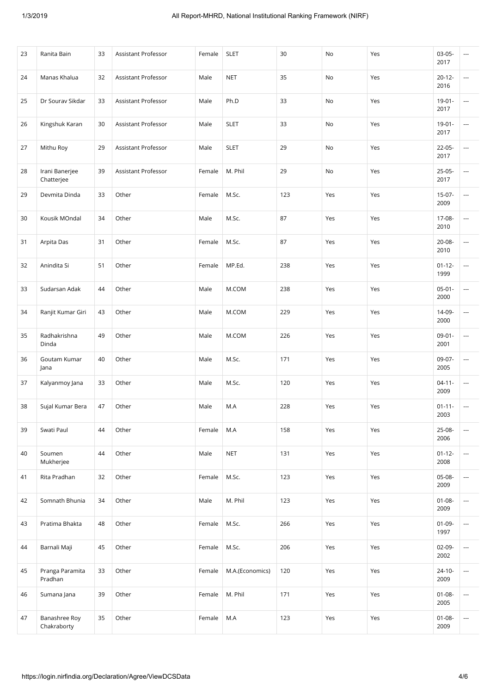| 23 | Ranita Bain                  | 33 | Assistant Professor        | Female | <b>SLET</b>     | 30  | No  | Yes | $03-05-$<br>2017    | ---                      |
|----|------------------------------|----|----------------------------|--------|-----------------|-----|-----|-----|---------------------|--------------------------|
| 24 | Manas Khalua                 | 32 | Assistant Professor        | Male   | <b>NET</b>      | 35  | No  | Yes | $20-12-$<br>2016    | $\overline{\phantom{a}}$ |
| 25 | Dr Sourav Sikdar             | 33 | Assistant Professor        | Male   | Ph.D            | 33  | No  | Yes | $19 - 01 -$<br>2017 | ---                      |
| 26 | Kingshuk Karan               | 30 | Assistant Professor        | Male   | <b>SLET</b>     | 33  | No  | Yes | $19-01-$<br>2017    | $\sim$                   |
| 27 | Mithu Roy                    | 29 | Assistant Professor        | Male   | <b>SLET</b>     | 29  | No  | Yes | 22-05-<br>2017      | $\overline{\phantom{a}}$ |
| 28 | Irani Banerjee<br>Chatterjee | 39 | <b>Assistant Professor</b> | Female | M. Phil         | 29  | No  | Yes | 25-05-<br>2017      | ---                      |
| 29 | Devmita Dinda                | 33 | Other                      | Female | M.Sc.           | 123 | Yes | Yes | $15-07-$<br>2009    | $\overline{\phantom{a}}$ |
| 30 | Kousik MOndal                | 34 | Other                      | Male   | M.Sc.           | 87  | Yes | Yes | 17-08-<br>2010      | $\overline{\phantom{a}}$ |
| 31 | Arpita Das                   | 31 | Other                      | Female | M.Sc.           | 87  | Yes | Yes | 20-08-<br>2010      | $\overline{\phantom{a}}$ |
| 32 | Anindita Si                  | 51 | Other                      | Female | MP.Ed.          | 238 | Yes | Yes | $01 - 12 -$<br>1999 | ---                      |
| 33 | Sudarsan Adak                | 44 | Other                      | Male   | M.COM           | 238 | Yes | Yes | $05-01-$<br>2000    | ---                      |
| 34 | Ranjit Kumar Giri            | 43 | Other                      | Male   | M.COM           | 229 | Yes | Yes | 14-09-<br>2000      | $\sim$                   |
| 35 | Radhakrishna<br>Dinda        | 49 | Other                      | Male   | M.COM           | 226 | Yes | Yes | $09-01-$<br>2001    | $\overline{\phantom{a}}$ |
| 36 | Goutam Kumar<br>Jana         | 40 | Other                      | Male   | M.Sc.           | 171 | Yes | Yes | 09-07-<br>2005      | ---                      |
| 37 | Kalyanmoy Jana               | 33 | Other                      | Male   | M.Sc.           | 120 | Yes | Yes | $04 - 11 -$<br>2009 | $\overline{\phantom{a}}$ |
| 38 | Sujal Kumar Bera             | 47 | Other                      | Male   | M.A             | 228 | Yes | Yes | $01 - 11 -$<br>2003 | $\overline{\phantom{a}}$ |
| 39 | Swati Paul                   | 44 | Other                      | Female | M.A             | 158 | Yes | Yes | 25-08-<br>2006      | ---                      |
| 40 | Soumen<br>Mukherjee          | 44 | Other                      | Male   | <b>NET</b>      | 131 | Yes | Yes | $01 - 12 -$<br>2008 | $\sim$                   |
| 41 | Rita Pradhan                 | 32 | Other                      | Female | M.Sc.           | 123 | Yes | Yes | 05-08-<br>2009      | $\overline{\phantom{a}}$ |
| 42 | Somnath Bhunia               | 34 | Other                      | Male   | M. Phil         | 123 | Yes | Yes | $01 - 08 -$<br>2009 | $\overline{\phantom{a}}$ |
| 43 | Pratima Bhakta               | 48 | Other                      | Female | M.Sc.           | 266 | Yes | Yes | $01-09-$<br>1997    | $\overline{\phantom{a}}$ |
| 44 | Barnali Maji                 | 45 | Other                      | Female | M.Sc.           | 206 | Yes | Yes | 02-09-<br>2002      | $\sim$                   |
| 45 | Pranga Paramita<br>Pradhan   | 33 | Other                      | Female | M.A.(Economics) | 120 | Yes | Yes | $24 - 10 -$<br>2009 | $\overline{\phantom{a}}$ |
| 46 | Sumana Jana                  | 39 | Other                      | Female | M. Phil         | 171 | Yes | Yes | $01 - 08 -$<br>2005 | $\overline{\phantom{a}}$ |
| 47 | Banashree Roy<br>Chakraborty | 35 | Other                      | Female | M.A             | 123 | Yes | Yes | $01 - 08 -$<br>2009 | $\overline{\phantom{a}}$ |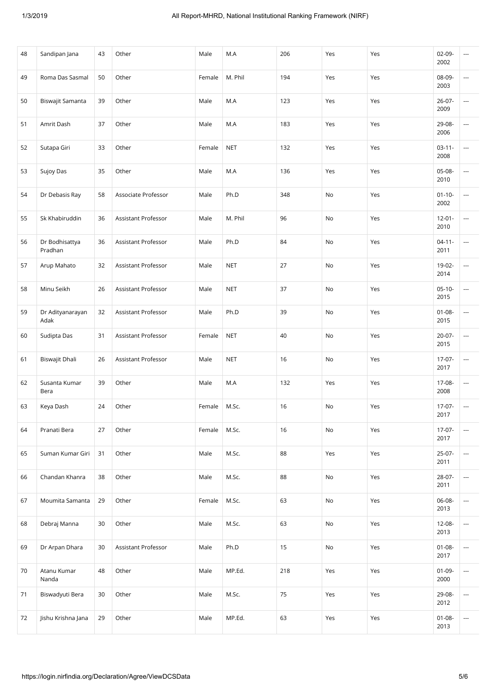| 48 | Sandipan Jana             | 43 | Other               | Male   | M.A        | 206 | Yes | Yes | $02 - 09 -$<br>2002 | ---                      |
|----|---------------------------|----|---------------------|--------|------------|-----|-----|-----|---------------------|--------------------------|
| 49 | Roma Das Sasmal           | 50 | Other               | Female | M. Phil    | 194 | Yes | Yes | 08-09-<br>2003      | ---                      |
| 50 | Biswajit Samanta          | 39 | Other               | Male   | M.A        | 123 | Yes | Yes | $26 - 07 -$<br>2009 | ---                      |
| 51 | Amrit Dash                | 37 | Other               | Male   | M.A        | 183 | Yes | Yes | 29-08-<br>2006      | ---                      |
| 52 | Sutapa Giri               | 33 | Other               | Female | <b>NET</b> | 132 | Yes | Yes | $03 - 11 -$<br>2008 | ---                      |
| 53 | Sujoy Das                 | 35 | Other               | Male   | M.A        | 136 | Yes | Yes | 05-08-<br>2010      | ---                      |
| 54 | Dr Debasis Ray            | 58 | Associate Professor | Male   | Ph.D       | 348 | No  | Yes | $01 - 10 -$<br>2002 | ---                      |
| 55 | Sk Khabiruddin            | 36 | Assistant Professor | Male   | M. Phil    | 96  | No  | Yes | $12 - 01 -$<br>2010 | ---                      |
| 56 | Dr Bodhisattya<br>Pradhan | 36 | Assistant Professor | Male   | Ph.D       | 84  | No  | Yes | $04 - 11 -$<br>2011 | ---                      |
| 57 | Arup Mahato               | 32 | Assistant Professor | Male   | <b>NET</b> | 27  | No  | Yes | 19-02-<br>2014      | ---                      |
| 58 | Minu Seikh                | 26 | Assistant Professor | Male   | <b>NET</b> | 37  | No  | Yes | $05-10-$<br>2015    | ---                      |
| 59 | Dr Adityanarayan<br>Adak  | 32 | Assistant Professor | Male   | Ph.D       | 39  | No  | Yes | $01 - 08 -$<br>2015 | $\overline{\phantom{a}}$ |
| 60 | Sudipta Das               | 31 | Assistant Professor | Female | <b>NET</b> | 40  | No  | Yes | $20-07-$<br>2015    | ---                      |
| 61 | Biswajit Dhali            | 26 | Assistant Professor | Male   | <b>NET</b> | 16  | No  | Yes | $17-07-$<br>2017    | ---                      |
| 62 | Susanta Kumar<br>Bera     | 39 | Other               | Male   | M.A        | 132 | Yes | Yes | 17-08-<br>2008      | $\overline{\phantom{a}}$ |
| 63 | Keya Dash                 | 24 | Other               | Female | M.Sc.      | 16  | No  | Yes | $17-07-$<br>2017    | $\sim$                   |
| 64 | Pranati Bera              | 27 | Other               | Female | M.Sc.      | 16  | No  | Yes | $17-07-$<br>2017    | ---                      |
| 65 | Suman Kumar Giri          | 31 | Other               | Male   | M.Sc.      | 88  | Yes | Yes | 25-07-<br>2011      | ---                      |
| 66 | Chandan Khanra            | 38 | Other               | Male   | M.Sc.      | 88  | No  | Yes | 28-07-<br>2011      | ---                      |
| 67 | Moumita Samanta           | 29 | Other               | Female | M.Sc.      | 63  | No  | Yes | 06-08-<br>2013      | ---                      |
| 68 | Debraj Manna              | 30 | Other               | Male   | M.Sc.      | 63  | No  | Yes | 12-08-<br>2013      | $\sim$                   |
| 69 | Dr Arpan Dhara            | 30 | Assistant Professor | Male   | Ph.D       | 15  | No  | Yes | $01 - 08 -$<br>2017 | $\overline{\phantom{a}}$ |
| 70 | Atanu Kumar<br>Nanda      | 48 | Other               | Male   | MP.Ed.     | 218 | Yes | Yes | $01-09-$<br>2000    | $\overline{\phantom{a}}$ |
| 71 | Biswadyuti Bera           | 30 | Other               | Male   | M.Sc.      | 75  | Yes | Yes | 29-08-<br>2012      | ---                      |
| 72 | Jishu Krishna Jana        | 29 | Other               | Male   | MP.Ed.     | 63  | Yes | Yes | $01 - 08 -$<br>2013 | $\sim$                   |